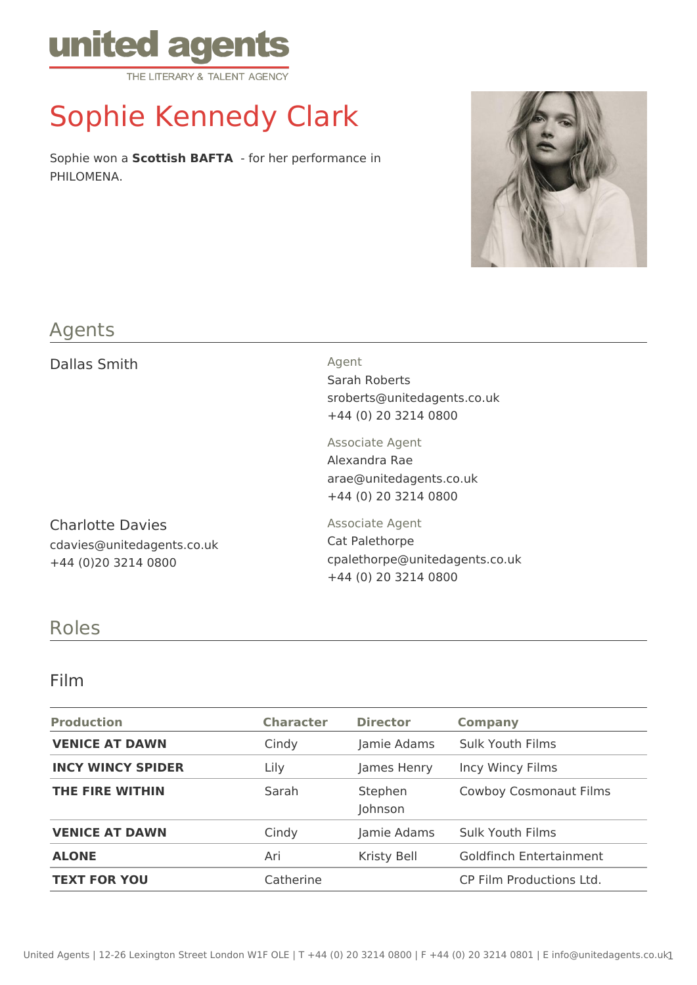

# Sophie Kennedy Clark

Sophie won a **Scottish BAFTA** - for her performance in PHILOMENA.



#### Agents

Dallas Smith Agent

Charlotte Davies cdavies@unitedagents.co.uk +44 (0)20 3214 0800

Sarah Roberts sroberts@unitedagents.co.uk +44 (0) 20 3214 0800

Associate Agent Alexandra Rae arae@unitedagents.co.uk +44 (0) 20 3214 0800

Associate Agent Cat Palethorpe cpalethorpe@unitedagents.co.uk +44 (0) 20 3214 0800

# Roles

#### Film

| <b>Production</b>        | <b>Character</b> | <b>Director</b>    | <b>Company</b>                 |
|--------------------------|------------------|--------------------|--------------------------------|
| <b>VENICE AT DAWN</b>    | Cindy            | Jamie Adams        | <b>Sulk Youth Films</b>        |
| <b>INCY WINCY SPIDER</b> | Lily             | James Henry        | Incy Wincy Films               |
| THE FIRE WITHIN          | Sarah            | Stephen<br>Johnson | <b>Cowboy Cosmonaut Films</b>  |
| <b>VENICE AT DAWN</b>    | Cindy            | Jamie Adams        | <b>Sulk Youth Films</b>        |
| <b>ALONE</b>             | Ari              | Kristy Bell        | <b>Goldfinch Entertainment</b> |
| <b>TEXT FOR YOU</b>      | Catherine        |                    | CP Film Productions Ltd.       |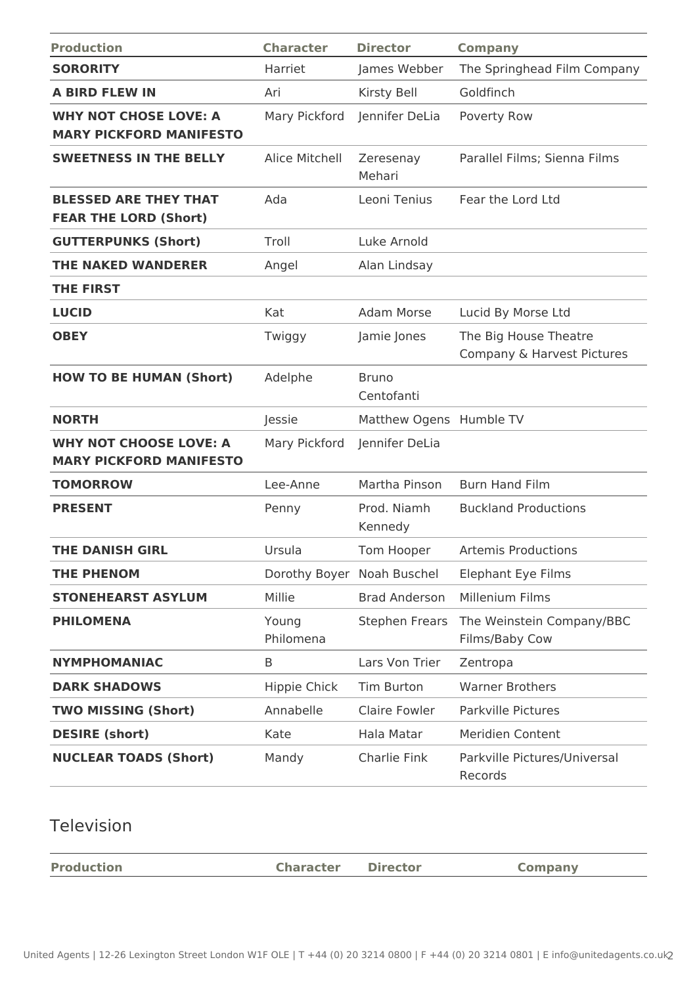| <b>Production</b>                                               | <b>Character</b>           | <b>Director</b>            | <b>Company</b>                                      |
|-----------------------------------------------------------------|----------------------------|----------------------------|-----------------------------------------------------|
| <b>SORORITY</b>                                                 | Harriet                    | James Webber               | The Springhead Film Company                         |
| <b>A BIRD FLEW IN</b>                                           | Ari                        | Kirsty Bell                | Goldfinch                                           |
| <b>WHY NOT CHOSE LOVE: A</b><br><b>MARY PICKFORD MANIFESTO</b>  | Mary Pickford              | Jennifer DeLia             | Poverty Row                                         |
| <b>SWEETNESS IN THE BELLY</b>                                   | Alice Mitchell             | Zeresenay<br>Mehari        | Parallel Films; Sienna Films                        |
| <b>BLESSED ARE THEY THAT</b><br><b>FEAR THE LORD (Short)</b>    | Ada                        | Leoni Tenius               | Fear the Lord Ltd                                   |
| <b>GUTTERPUNKS (Short)</b>                                      | Troll                      | Luke Arnold                |                                                     |
| <b>THE NAKED WANDERER</b>                                       | Angel                      | Alan Lindsay               |                                                     |
| <b>THE FIRST</b>                                                |                            |                            |                                                     |
| <b>LUCID</b>                                                    | Kat                        | <b>Adam Morse</b>          | Lucid By Morse Ltd                                  |
| <b>OBEY</b>                                                     | Twiggy                     | Jamie Jones                | The Big House Theatre<br>Company & Harvest Pictures |
| <b>HOW TO BE HUMAN (Short)</b>                                  | Adelphe                    | <b>Bruno</b><br>Centofanti |                                                     |
| <b>NORTH</b>                                                    | Jessie                     | Matthew Ogens Humble TV    |                                                     |
| <b>WHY NOT CHOOSE LOVE: A</b><br><b>MARY PICKFORD MANIFESTO</b> | Mary Pickford              | Jennifer DeLia             |                                                     |
| <b>TOMORROW</b>                                                 | Lee-Anne                   | Martha Pinson              | <b>Burn Hand Film</b>                               |
| <b>PRESENT</b>                                                  | Penny                      | Prod. Niamh<br>Kennedy     | <b>Buckland Productions</b>                         |
| <b>THE DANISH GIRL</b>                                          | Ursula                     | Tom Hooper                 | <b>Artemis Productions</b>                          |
| <b>THE PHENOM</b>                                               | Dorothy Boyer Noah Buschel |                            | <b>Elephant Eye Films</b>                           |
| <b>STONEHEARST ASYLUM</b>                                       | Millie                     | <b>Brad Anderson</b>       | Millenium Films                                     |
| <b>PHILOMENA</b>                                                | Young<br>Philomena         | <b>Stephen Frears</b>      | The Weinstein Company/BBC<br>Films/Baby Cow         |
| <b>NYMPHOMANIAC</b>                                             | B                          | Lars Von Trier             | Zentropa                                            |
| <b>DARK SHADOWS</b>                                             | Hippie Chick               | Tim Burton                 | <b>Warner Brothers</b>                              |
| <b>TWO MISSING (Short)</b>                                      | Annabelle                  | <b>Claire Fowler</b>       | Parkville Pictures                                  |
| <b>DESIRE (short)</b>                                           | Kate                       | Hala Matar                 | Meridien Content                                    |
| <b>NUCLEAR TOADS (Short)</b>                                    | Mandy                      | Charlie Fink               | Parkville Pictures/Universal                        |

# Television

| <b>Production</b> | <b>Character Director</b> | <b>Company</b> |
|-------------------|---------------------------|----------------|
|                   |                           |                |